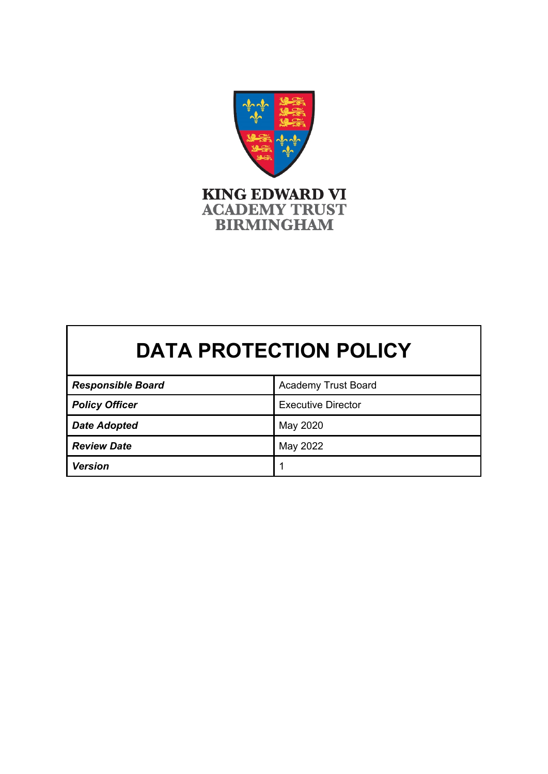

# **DATA PROTECTION POLICY**

| <b>Responsible Board</b> | <b>Academy Trust Board</b> |
|--------------------------|----------------------------|
| <b>Policy Officer</b>    | <b>Executive Director</b>  |
| <b>Date Adopted</b>      | May 2020                   |
| <b>Review Date</b>       | May 2022                   |
| <b>Version</b>           |                            |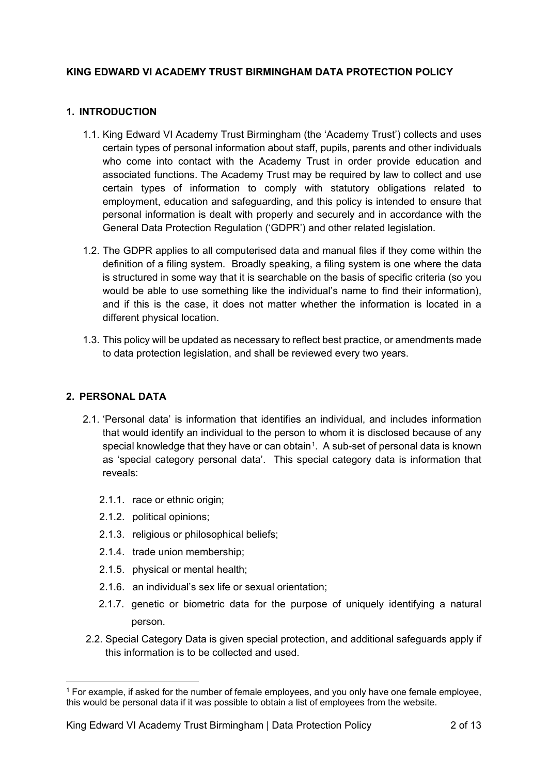## **KING EDWARD VI ACADEMY TRUST BIRMINGHAM DATA PROTECTION POLICY**

## **1. INTRODUCTION**

- 1.1. King Edward VI Academy Trust Birmingham (the 'Academy Trust') collects and uses certain types of personal information about staff, pupils, parents and other individuals who come into contact with the Academy Trust in order provide education and associated functions. The Academy Trust may be required by law to collect and use certain types of information to comply with statutory obligations related to employment, education and safeguarding, and this policy is intended to ensure that personal information is dealt with properly and securely and in accordance with the General Data Protection Regulation ('GDPR') and other related legislation.
- 1.2. The GDPR applies to all computerised data and manual files if they come within the definition of a filing system. Broadly speaking, a filing system is one where the data is structured in some way that it is searchable on the basis of specific criteria (so you would be able to use something like the individual's name to find their information), and if this is the case, it does not matter whether the information is located in a different physical location.
- 1.3. This policy will be updated as necessary to reflect best practice, or amendments made to data protection legislation, and shall be reviewed every two years.

#### **2. PERSONAL DATA**

- 2.1. 'Personal data' is information that identifies an individual, and includes information that would identify an individual to the person to whom it is disclosed because of any special knowledge that they have or can obtain<sup>[1](#page-1-0)</sup>. A sub-set of personal data is known as 'special category personal data'. This special category data is information that reveals:
	- 2.1.1. race or ethnic origin;
	- 2.1.2. political opinions;
	- 2.1.3. religious or philosophical beliefs;
	- 2.1.4. trade union membership;
	- 2.1.5. physical or mental health;
	- 2.1.6. an individual's sex life or sexual orientation;
	- 2.1.7. genetic or biometric data for the purpose of uniquely identifying a natural person.
- 2.2. Special Category Data is given special protection, and additional safeguards apply if this information is to be collected and used.

<span id="page-1-0"></span> $1$  For example, if asked for the number of female employees, and you only have one female employee, this would be personal data if it was possible to obtain a list of employees from the website.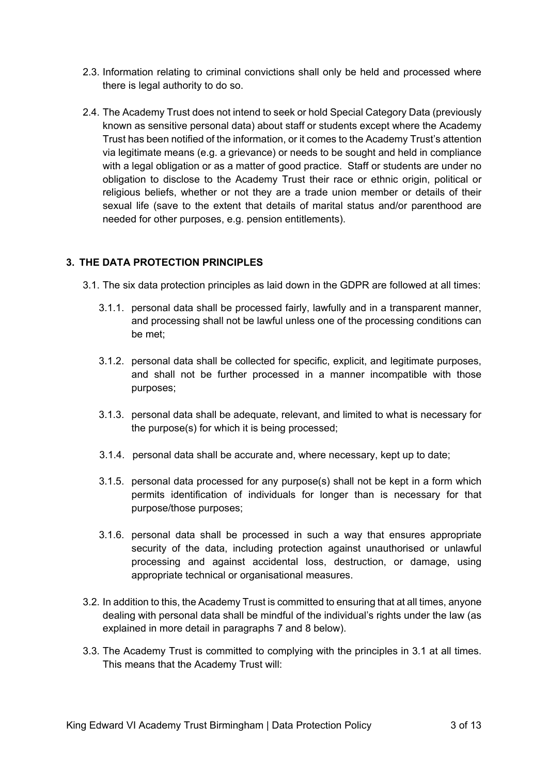- 2.3. Information relating to criminal convictions shall only be held and processed where there is legal authority to do so.
- 2.4. The Academy Trust does not intend to seek or hold Special Category Data (previously known as sensitive personal data) about staff or students except where the Academy Trust has been notified of the information, or it comes to the Academy Trust's attention via legitimate means (e.g. a grievance) or needs to be sought and held in compliance with a legal obligation or as a matter of good practice. Staff or students are under no obligation to disclose to the Academy Trust their race or ethnic origin, political or religious beliefs, whether or not they are a trade union member or details of their sexual life (save to the extent that details of marital status and/or parenthood are needed for other purposes, e.g. pension entitlements).

## **3. THE DATA PROTECTION PRINCIPLES**

- 3.1. The six data protection principles as laid down in the GDPR are followed at all times:
	- 3.1.1. personal data shall be processed fairly, lawfully and in a transparent manner, and processing shall not be lawful unless one of the processing conditions can be met;
	- 3.1.2. personal data shall be collected for specific, explicit, and legitimate purposes, and shall not be further processed in a manner incompatible with those purposes;
	- 3.1.3. personal data shall be adequate, relevant, and limited to what is necessary for the purpose(s) for which it is being processed;
	- 3.1.4. personal data shall be accurate and, where necessary, kept up to date;
	- 3.1.5. personal data processed for any purpose(s) shall not be kept in a form which permits identification of individuals for longer than is necessary for that purpose/those purposes;
	- 3.1.6. personal data shall be processed in such a way that ensures appropriate security of the data, including protection against unauthorised or unlawful processing and against accidental loss, destruction, or damage, using appropriate technical or organisational measures.
- 3.2. In addition to this, the Academy Trust is committed to ensuring that at all times, anyone dealing with personal data shall be mindful of the individual's rights under the law (as explained in more detail in paragraphs 7 and 8 below).
- 3.3. The Academy Trust is committed to complying with the principles in 3.1 at all times. This means that the Academy Trust will: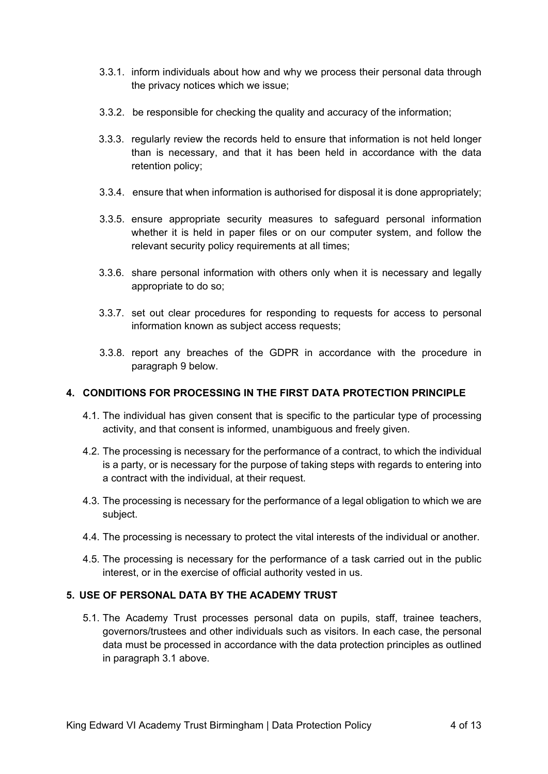- 3.3.1. inform individuals about how and why we process their personal data through the privacy notices which we issue;
- 3.3.2. be responsible for checking the quality and accuracy of the information;
- 3.3.3. regularly review the records held to ensure that information is not held longer than is necessary, and that it has been held in accordance with the data retention policy;
- 3.3.4. ensure that when information is authorised for disposal it is done appropriately;
- 3.3.5. ensure appropriate security measures to safeguard personal information whether it is held in paper files or on our computer system, and follow the relevant security policy requirements at all times;
- 3.3.6. share personal information with others only when it is necessary and legally appropriate to do so;
- 3.3.7. set out clear procedures for responding to requests for access to personal information known as subject access requests;
- 3.3.8. report any breaches of the GDPR in accordance with the procedure in paragraph 9 below.

## **4. CONDITIONS FOR PROCESSING IN THE FIRST DATA PROTECTION PRINCIPLE**

- 4.1. The individual has given consent that is specific to the particular type of processing activity, and that consent is informed, unambiguous and freely given.
- 4.2. The processing is necessary for the performance of a contract, to which the individual is a party, or is necessary for the purpose of taking steps with regards to entering into a contract with the individual, at their request.
- 4.3. The processing is necessary for the performance of a legal obligation to which we are subject.
- 4.4. The processing is necessary to protect the vital interests of the individual or another.
- 4.5. The processing is necessary for the performance of a task carried out in the public interest, or in the exercise of official authority vested in us.

#### **5. USE OF PERSONAL DATA BY THE ACADEMY TRUST**

5.1. The Academy Trust processes personal data on pupils, staff, trainee teachers, governors/trustees and other individuals such as visitors. In each case, the personal data must be processed in accordance with the data protection principles as outlined in paragraph 3.1 above.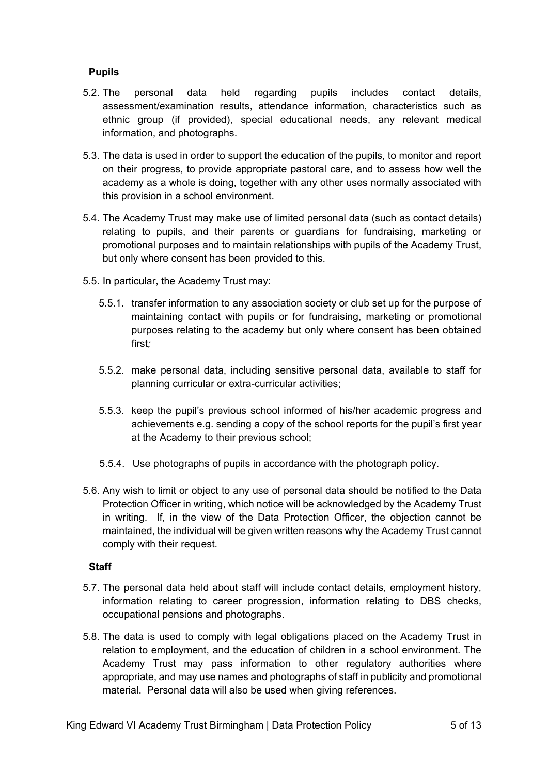## **Pupils**

- 5.2. The personal data held regarding pupils includes contact details, assessment/examination results, attendance information, characteristics such as ethnic group (if provided), special educational needs, any relevant medical information, and photographs.
- 5.3. The data is used in order to support the education of the pupils, to monitor and report on their progress, to provide appropriate pastoral care, and to assess how well the academy as a whole is doing, together with any other uses normally associated with this provision in a school environment.
- 5.4. The Academy Trust may make use of limited personal data (such as contact details) relating to pupils, and their parents or guardians for fundraising, marketing or promotional purposes and to maintain relationships with pupils of the Academy Trust, but only where consent has been provided to this.
- 5.5. In particular, the Academy Trust may:
	- 5.5.1. transfer information to any association society or club set up for the purpose of maintaining contact with pupils or for fundraising, marketing or promotional purposes relating to the academy but only where consent has been obtained first*;*
	- 5.5.2. make personal data, including sensitive personal data, available to staff for planning curricular or extra-curricular activities;
	- 5.5.3. keep the pupil's previous school informed of his/her academic progress and achievements e.g. sending a copy of the school reports for the pupil's first year at the Academy to their previous school;
	- 5.5.4. Use photographs of pupils in accordance with the photograph policy.
- 5.6. Any wish to limit or object to any use of personal data should be notified to the Data Protection Officer in writing, which notice will be acknowledged by the Academy Trust in writing. If, in the view of the Data Protection Officer, the objection cannot be maintained, the individual will be given written reasons why the Academy Trust cannot comply with their request.

#### **Staff**

- 5.7. The personal data held about staff will include contact details, employment history, information relating to career progression, information relating to DBS checks, occupational pensions and photographs.
- 5.8. The data is used to comply with legal obligations placed on the Academy Trust in relation to employment, and the education of children in a school environment. The Academy Trust may pass information to other regulatory authorities where appropriate, and may use names and photographs of staff in publicity and promotional material. Personal data will also be used when giving references.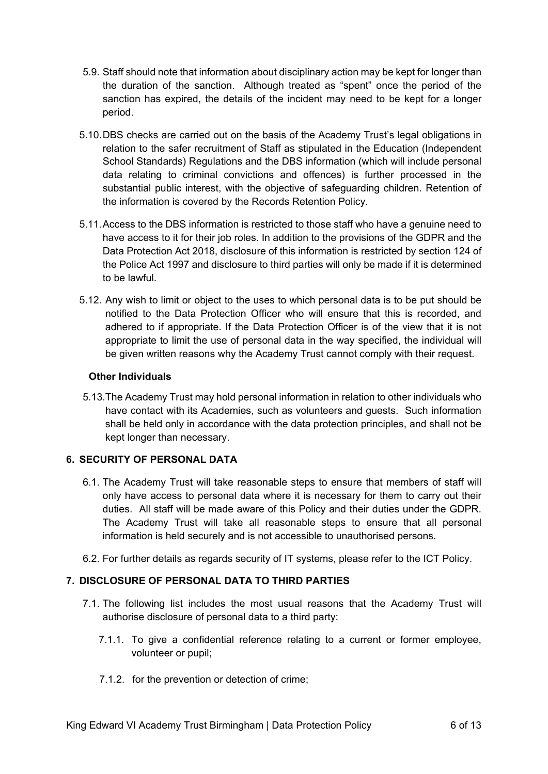- 5.9. Staff should note that information about disciplinary action may be kept for longer than the duration of the sanction. Although treated as "spent" once the period of the sanction has expired, the details of the incident may need to be kept for a longer period.
- 5.10.DBS checks are carried out on the basis of the Academy Trust's legal obligations in relation to the safer recruitment of Staff as stipulated in the Education (Independent School Standards) Regulations and the DBS information (which will include personal data relating to criminal convictions and offences) is further processed in the substantial public interest, with the objective of safeguarding children. Retention of the information is covered by the Records Retention Policy.
- 5.11.Access to the DBS information is restricted to those staff who have a genuine need to have access to it for their job roles. In addition to the provisions of the GDPR and the Data Protection Act 2018, disclosure of this information is restricted by section 124 of the Police Act 1997 and disclosure to third parties will only be made if it is determined to be lawful.
- 5.12. Any wish to limit or object to the uses to which personal data is to be put should be notified to the Data Protection Officer who will ensure that this is recorded, and adhered to if appropriate. If the Data Protection Officer is of the view that it is not appropriate to limit the use of personal data in the way specified, the individual will be given written reasons why the Academy Trust cannot comply with their request.

## **Other Individuals**

5.13.The Academy Trust may hold personal information in relation to other individuals who have contact with its Academies, such as volunteers and guests. Such information shall be held only in accordance with the data protection principles, and shall not be kept longer than necessary.

## **6. SECURITY OF PERSONAL DATA**

- 6.1. The Academy Trust will take reasonable steps to ensure that members of staff will only have access to personal data where it is necessary for them to carry out their duties. All staff will be made aware of this Policy and their duties under the GDPR. The Academy Trust will take all reasonable steps to ensure that all personal information is held securely and is not accessible to unauthorised persons.
- 6.2. For further details as regards security of IT systems, please refer to the ICT Policy.

## **7. DISCLOSURE OF PERSONAL DATA TO THIRD PARTIES**

- 7.1. The following list includes the most usual reasons that the Academy Trust will authorise disclosure of personal data to a third party:
	- 7.1.1. To give a confidential reference relating to a current or former employee, volunteer or pupil;
	- 7.1.2. for the prevention or detection of crime;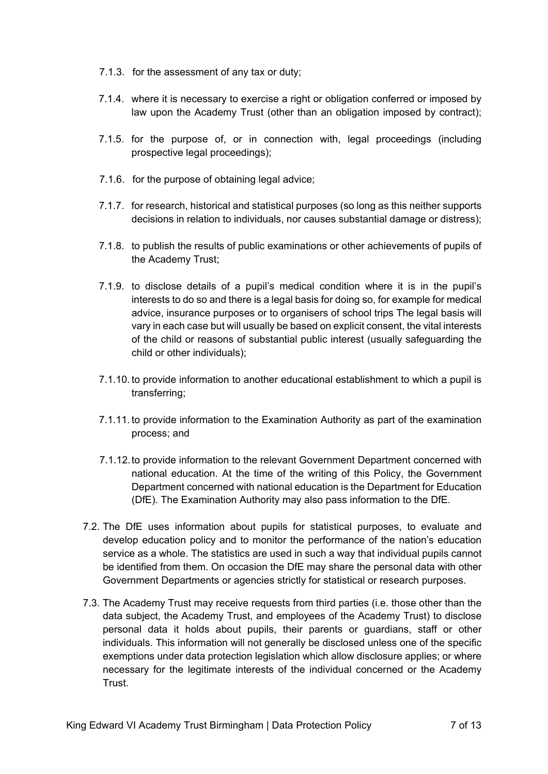- 7.1.3. for the assessment of any tax or duty;
- 7.1.4. where it is necessary to exercise a right or obligation conferred or imposed by law upon the Academy Trust (other than an obligation imposed by contract);
- 7.1.5. for the purpose of, or in connection with, legal proceedings (including prospective legal proceedings);
- 7.1.6. for the purpose of obtaining legal advice;
- 7.1.7. for research, historical and statistical purposes (so long as this neither supports decisions in relation to individuals, nor causes substantial damage or distress);
- 7.1.8. to publish the results of public examinations or other achievements of pupils of the Academy Trust;
- 7.1.9. to disclose details of a pupil's medical condition where it is in the pupil's interests to do so and there is a legal basis for doing so, for example for medical advice, insurance purposes or to organisers of school trips The legal basis will vary in each case but will usually be based on explicit consent, the vital interests of the child or reasons of substantial public interest (usually safeguarding the child or other individuals);
- 7.1.10. to provide information to another educational establishment to which a pupil is transferring;
- 7.1.11. to provide information to the Examination Authority as part of the examination process; and
- 7.1.12.to provide information to the relevant Government Department concerned with national education. At the time of the writing of this Policy, the Government Department concerned with national education is the Department for Education (DfE). The Examination Authority may also pass information to the DfE.
- 7.2. The DfE uses information about pupils for statistical purposes, to evaluate and develop education policy and to monitor the performance of the nation's education service as a whole. The statistics are used in such a way that individual pupils cannot be identified from them. On occasion the DfE may share the personal data with other Government Departments or agencies strictly for statistical or research purposes.
- 7.3. The Academy Trust may receive requests from third parties (i.e. those other than the data subject, the Academy Trust, and employees of the Academy Trust) to disclose personal data it holds about pupils, their parents or guardians, staff or other individuals. This information will not generally be disclosed unless one of the specific exemptions under data protection legislation which allow disclosure applies; or where necessary for the legitimate interests of the individual concerned or the Academy Trust.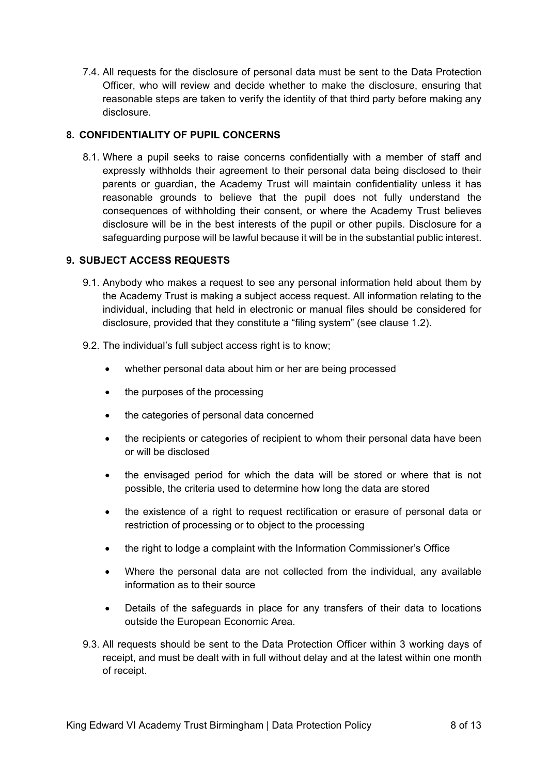7.4. All requests for the disclosure of personal data must be sent to the Data Protection Officer, who will review and decide whether to make the disclosure, ensuring that reasonable steps are taken to verify the identity of that third party before making any disclosure.

## **8. CONFIDENTIALITY OF PUPIL CONCERNS**

8.1. Where a pupil seeks to raise concerns confidentially with a member of staff and expressly withholds their agreement to their personal data being disclosed to their parents or guardian, the Academy Trust will maintain confidentiality unless it has reasonable grounds to believe that the pupil does not fully understand the consequences of withholding their consent, or where the Academy Trust believes disclosure will be in the best interests of the pupil or other pupils. Disclosure for a safeguarding purpose will be lawful because it will be in the substantial public interest.

## **9. SUBJECT ACCESS REQUESTS**

- 9.1. Anybody who makes a request to see any personal information held about them by the Academy Trust is making a subject access request. All information relating to the individual, including that held in electronic or manual files should be considered for disclosure, provided that they constitute a "filing system" (see clause 1.2).
- 9.2. The individual's full subject access right is to know;
	- whether personal data about him or her are being processed
	- the purposes of the processing
	- the categories of personal data concerned
	- the recipients or categories of recipient to whom their personal data have been or will be disclosed
	- the envisaged period for which the data will be stored or where that is not possible, the criteria used to determine how long the data are stored
	- the existence of a right to request rectification or erasure of personal data or restriction of processing or to object to the processing
	- the right to lodge a complaint with the Information Commissioner's Office
	- Where the personal data are not collected from the individual, any available information as to their source
	- Details of the safeguards in place for any transfers of their data to locations outside the European Economic Area.
- 9.3. All requests should be sent to the Data Protection Officer within 3 working days of receipt, and must be dealt with in full without delay and at the latest within one month of receipt.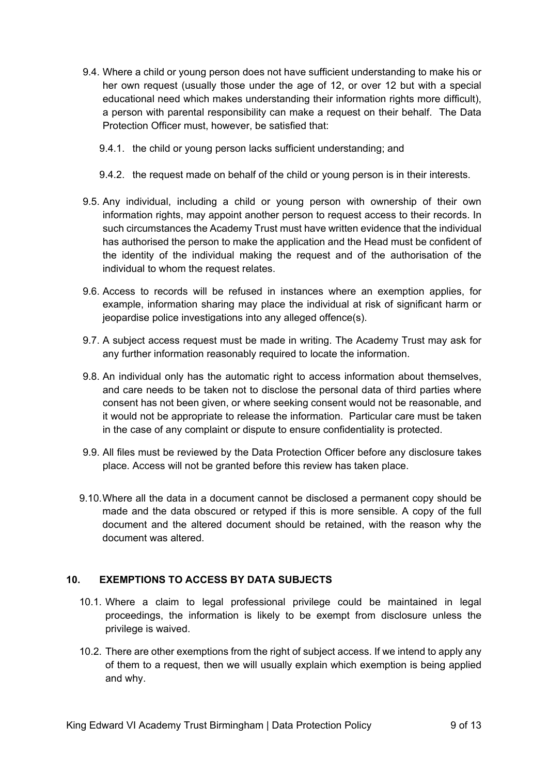- 9.4. Where a child or young person does not have sufficient understanding to make his or her own request (usually those under the age of 12, or over 12 but with a special educational need which makes understanding their information rights more difficult), a person with parental responsibility can make a request on their behalf. The Data Protection Officer must, however, be satisfied that:
	- 9.4.1. the child or young person lacks sufficient understanding; and
	- 9.4.2. the request made on behalf of the child or young person is in their interests.
- 9.5. Any individual, including a child or young person with ownership of their own information rights, may appoint another person to request access to their records. In such circumstances the Academy Trust must have written evidence that the individual has authorised the person to make the application and the Head must be confident of the identity of the individual making the request and of the authorisation of the individual to whom the request relates.
- 9.6. Access to records will be refused in instances where an exemption applies, for example, information sharing may place the individual at risk of significant harm or jeopardise police investigations into any alleged offence(s).
- 9.7. A subject access request must be made in writing. The Academy Trust may ask for any further information reasonably required to locate the information.
- 9.8. An individual only has the automatic right to access information about themselves, and care needs to be taken not to disclose the personal data of third parties where consent has not been given, or where seeking consent would not be reasonable, and it would not be appropriate to release the information. Particular care must be taken in the case of any complaint or dispute to ensure confidentiality is protected.
- 9.9. All files must be reviewed by the Data Protection Officer before any disclosure takes place. Access will not be granted before this review has taken place.
- 9.10.Where all the data in a document cannot be disclosed a permanent copy should be made and the data obscured or retyped if this is more sensible. A copy of the full document and the altered document should be retained, with the reason why the document was altered.

## **10. EXEMPTIONS TO ACCESS BY DATA SUBJECTS**

- 10.1. Where a claim to legal professional privilege could be maintained in legal proceedings, the information is likely to be exempt from disclosure unless the privilege is waived.
- 10.2. There are other exemptions from the right of subject access. If we intend to apply any of them to a request, then we will usually explain which exemption is being applied and why.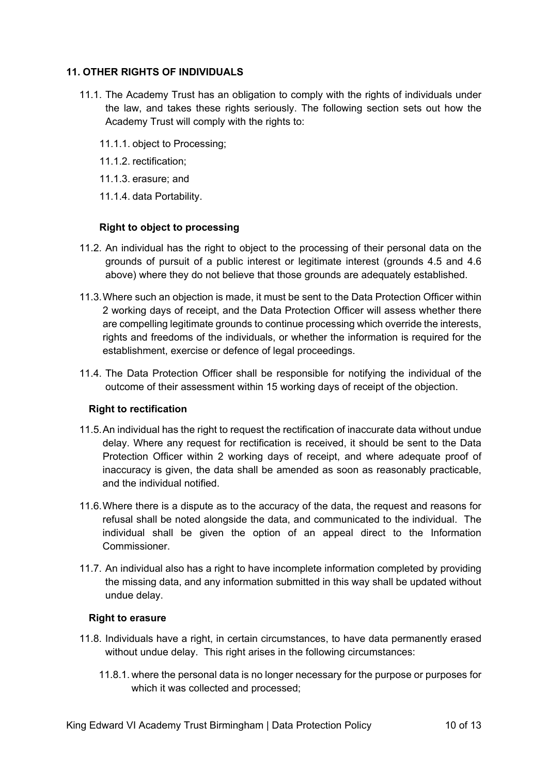#### **11. OTHER RIGHTS OF INDIVIDUALS**

- 11.1. The Academy Trust has an obligation to comply with the rights of individuals under the law, and takes these rights seriously. The following section sets out how the Academy Trust will comply with the rights to:
	- 11.1.1. object to Processing;
	- 11.1.2. rectification;
	- 11.1.3. erasure; and
	- 11.1.4. data Portability.

#### **Right to object to processing**

- 11.2. An individual has the right to object to the processing of their personal data on the grounds of pursuit of a public interest or legitimate interest (grounds 4.5 and 4.6 above) where they do not believe that those grounds are adequately established.
- 11.3.Where such an objection is made, it must be sent to the Data Protection Officer within 2 working days of receipt, and the Data Protection Officer will assess whether there are compelling legitimate grounds to continue processing which override the interests, rights and freedoms of the individuals, or whether the information is required for the establishment, exercise or defence of legal proceedings.
- 11.4. The Data Protection Officer shall be responsible for notifying the individual of the outcome of their assessment within 15 working days of receipt of the objection.

#### **Right to rectification**

- 11.5.An individual has the right to request the rectification of inaccurate data without undue delay. Where any request for rectification is received, it should be sent to the Data Protection Officer within 2 working days of receipt, and where adequate proof of inaccuracy is given, the data shall be amended as soon as reasonably practicable, and the individual notified.
- 11.6.Where there is a dispute as to the accuracy of the data, the request and reasons for refusal shall be noted alongside the data, and communicated to the individual. The individual shall be given the option of an appeal direct to the Information Commissioner.
- 11.7. An individual also has a right to have incomplete information completed by providing the missing data, and any information submitted in this way shall be updated without undue delay.

#### **Right to erasure**

- 11.8. Individuals have a right, in certain circumstances, to have data permanently erased without undue delay. This right arises in the following circumstances:
	- 11.8.1. where the personal data is no longer necessary for the purpose or purposes for which it was collected and processed;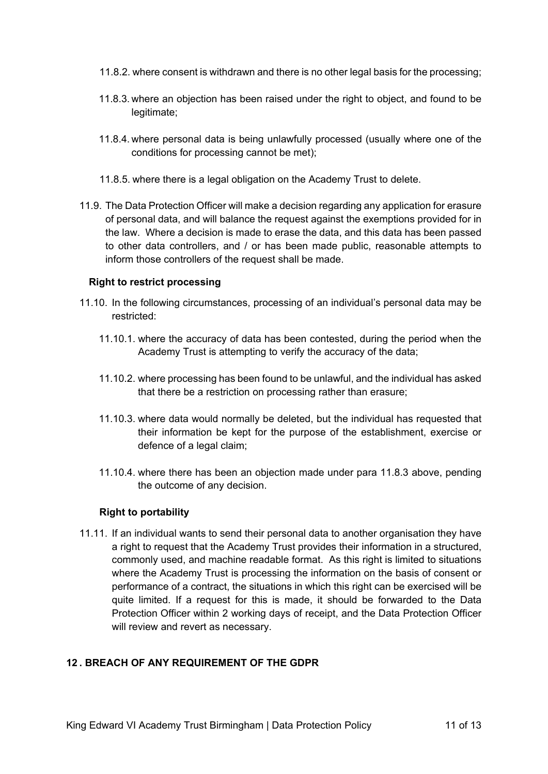- 11.8.2. where consent is withdrawn and there is no other legal basis for the processing;
- 11.8.3. where an objection has been raised under the right to object, and found to be legitimate;
- 11.8.4. where personal data is being unlawfully processed (usually where one of the conditions for processing cannot be met);
- 11.8.5. where there is a legal obligation on the Academy Trust to delete.
- 11.9. The Data Protection Officer will make a decision regarding any application for erasure of personal data, and will balance the request against the exemptions provided for in the law. Where a decision is made to erase the data, and this data has been passed to other data controllers, and / or has been made public, reasonable attempts to inform those controllers of the request shall be made.

#### **Right to restrict processing**

- 11.10. In the following circumstances, processing of an individual's personal data may be restricted:
	- 11.10.1. where the accuracy of data has been contested, during the period when the Academy Trust is attempting to verify the accuracy of the data;
	- 11.10.2. where processing has been found to be unlawful, and the individual has asked that there be a restriction on processing rather than erasure;
	- 11.10.3. where data would normally be deleted, but the individual has requested that their information be kept for the purpose of the establishment, exercise or defence of a legal claim;
	- 11.10.4. where there has been an objection made under para 11.8.3 above, pending the outcome of any decision.

#### **Right to portability**

11.11. If an individual wants to send their personal data to another organisation they have a right to request that the Academy Trust provides their information in a structured, commonly used, and machine readable format. As this right is limited to situations where the Academy Trust is processing the information on the basis of consent or performance of a contract, the situations in which this right can be exercised will be quite limited. If a request for this is made, it should be forwarded to the Data Protection Officer within 2 working days of receipt, and the Data Protection Officer will review and revert as necessary.

#### **12 . BREACH OF ANY REQUIREMENT OF THE GDPR**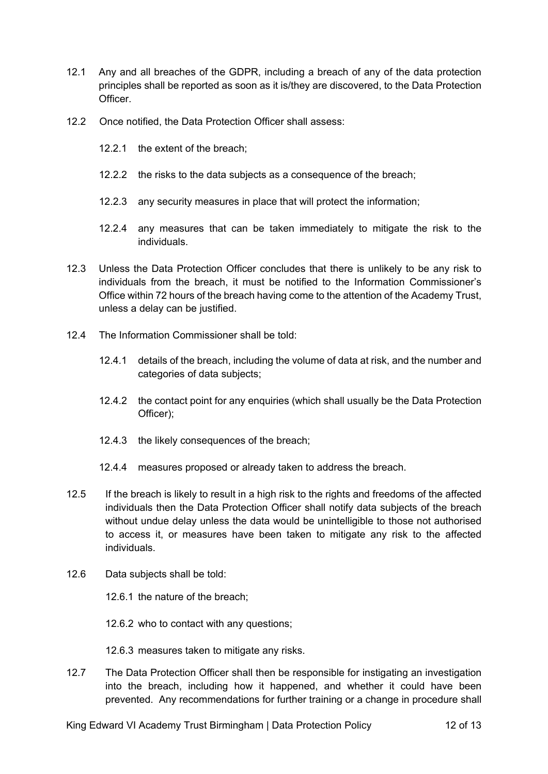- 12.1 Any and all breaches of the GDPR, including a breach of any of the data protection principles shall be reported as soon as it is/they are discovered, to the Data Protection Officer.
- 12.2 Once notified, the Data Protection Officer shall assess:
	- 12.2.1 the extent of the breach;
	- 12.2.2 the risks to the data subjects as a consequence of the breach;
	- 12.2.3 any security measures in place that will protect the information;
	- 12.2.4 any measures that can be taken immediately to mitigate the risk to the individuals.
- 12.3 Unless the Data Protection Officer concludes that there is unlikely to be any risk to individuals from the breach, it must be notified to the Information Commissioner's Office within 72 hours of the breach having come to the attention of the Academy Trust, unless a delay can be justified.
- 12.4 The Information Commissioner shall be told:
	- 12.4.1 details of the breach, including the volume of data at risk, and the number and categories of data subjects;
	- 12.4.2 the contact point for any enquiries (which shall usually be the Data Protection Officer);
	- 12.4.3 the likely consequences of the breach;
	- 12.4.4 measures proposed or already taken to address the breach.
- 12.5 If the breach is likely to result in a high risk to the rights and freedoms of the affected individuals then the Data Protection Officer shall notify data subjects of the breach without undue delay unless the data would be unintelligible to those not authorised to access it, or measures have been taken to mitigate any risk to the affected individuals.
- 12.6 Data subjects shall be told:

12.6.1 the nature of the breach;

12.6.2 who to contact with any questions;

12.6.3 measures taken to mitigate any risks.

12.7 The Data Protection Officer shall then be responsible for instigating an investigation into the breach, including how it happened, and whether it could have been prevented. Any recommendations for further training or a change in procedure shall